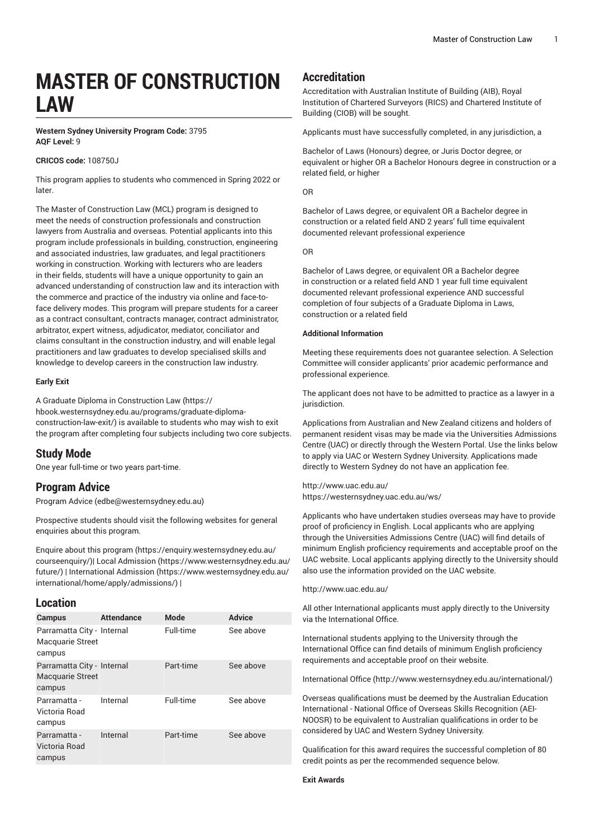# **MASTER OF CONSTRUCTION LAW**

## **Western Sydney University Program Code:** 3795 **AQF Level:** 9

## **CRICOS code:** 108750J

This program applies to students who commenced in Spring 2022 or later.

The Master of Construction Law (MCL) program is designed to meet the needs of construction professionals and construction lawyers from Australia and overseas. Potential applicants into this program include professionals in building, construction, engineering and associated industries, law graduates, and legal practitioners working in construction. Working with lecturers who are leaders in their fields, students will have a unique opportunity to gain an advanced understanding of construction law and its interaction with the commerce and practice of the industry via online and face-toface delivery modes. This program will prepare students for a career as a contract consultant, contracts manager, contract administrator, arbitrator, expert witness, adjudicator, mediator, conciliator and claims consultant in the construction industry, and will enable legal practitioners and law graduates to develop specialised skills and knowledge to develop careers in the construction law industry.

#### **Early Exit**

A [Graduate Diploma in Construction Law \(https://](https://hbook.westernsydney.edu.au/programs/graduate-diploma-construction-law-exit/) [hbook.westernsydney.edu.au/programs/graduate-diploma](https://hbook.westernsydney.edu.au/programs/graduate-diploma-construction-law-exit/)[construction-law-exit/\)](https://hbook.westernsydney.edu.au/programs/graduate-diploma-construction-law-exit/) is available to students who may wish to exit the program after completing four subjects including two core subjects.

## **Study Mode**

One year full-time or two years part-time.

# **Program Advice**

[Program](mailto:edbe@westernsydney.edu.au) Advice ([edbe@westernsydney.edu.au\)](edbe@westernsydney.edu.au)

Prospective students should visit the following websites for general enquiries about this program.

Enquire about this [program \(https://enquiry.westernsydney.edu.au/](https://enquiry.westernsydney.edu.au/courseenquiry/) [courseenquiry/](https://enquiry.westernsydney.edu.au/courseenquiry/))| [Local Admission \(https://www.westernsydney.edu.au/](https://www.westernsydney.edu.au/future/) [future/\)](https://www.westernsydney.edu.au/future/) | [International Admission](https://www.westernsydney.edu.au/international/home/apply/admissions/) ([https://www.westernsydney.edu.au/](https://www.westernsydney.edu.au/international/home/apply/admissions/) [international/home/apply/admissions/](https://www.westernsydney.edu.au/international/home/apply/admissions/)) |

## **Location**

| <b>Campus</b>                                                   | <b>Attendance</b> | <b>Mode</b> | <b>Advice</b> |
|-----------------------------------------------------------------|-------------------|-------------|---------------|
| Parramatta City - Internal<br><b>Macquarie Street</b><br>campus |                   | Full-time   | See above     |
| Parramatta City - Internal<br><b>Macquarie Street</b><br>campus |                   | Part-time   | See above     |
| Parramatta -<br>Victoria Road<br>campus                         | Internal          | Full-time   | See above     |
| Parramatta -<br>Victoria Road<br>campus                         | Internal          | Part-time   | See above     |

# **Accreditation**

Accreditation with Australian Institute of Building (AIB), Royal Institution of Chartered Surveyors (RICS) and Chartered Institute of Building (CIOB) will be sought*.*

Applicants must have successfully completed, in any jurisdiction, a

Bachelor of Laws (Honours) degree, or Juris Doctor degree, or equivalent or higher OR a Bachelor Honours degree in construction or a related field, or higher

OR

Bachelor of Laws degree, or equivalent OR a Bachelor degree in construction or a related field AND 2 years' full time equivalent documented relevant professional experience

OR

Bachelor of Laws degree, or equivalent OR a Bachelor degree in construction or a related field AND 1 year full time equivalent documented relevant professional experience AND successful completion of four subjects of a Graduate Diploma in Laws, construction or a related field

### **Additional Information**

Meeting these requirements does not guarantee selection. A Selection Committee will consider applicants' prior academic performance and professional experience.

The applicant does not have to be admitted to practice as a lawyer in a jurisdiction.

Applications from Australian and New Zealand citizens and holders of permanent resident visas may be made via the Universities Admissions Centre (UAC) or directly through the Western Portal. Use the links below to apply via UAC or Western Sydney University. Applications made directly to Western Sydney do not have an application fee.

<http://www.uac.edu.au/> <https://westernsydney.uac.edu.au/ws/>

Applicants who have undertaken studies overseas may have to provide proof of proficiency in English. Local applicants who are applying through the Universities Admissions Centre (UAC) will find details of minimum English proficiency requirements and acceptable proof on the UAC website. Local applicants applying directly to the University should also use the information provided on the UAC website.

## <http://www.uac.edu.au/>

All other International applicants must apply directly to the University via the International Office.

International students applying to the University through the International Office can find details of minimum English proficiency requirements and acceptable proof on their website.

[International Office](http://www.westernsydney.edu.au/international/) ([http://www.westernsydney.edu.au/international/\)](http://www.westernsydney.edu.au/international/)

Overseas qualifications must be deemed by the Australian Education International - National Office of Overseas Skills Recognition (AEI-NOOSR) to be equivalent to Australian qualifications in order to be considered by UAC and Western Sydney University.

Qualification for this award requires the successful completion of 80 credit points as per the recommended sequence below.

#### **Exit Awards**